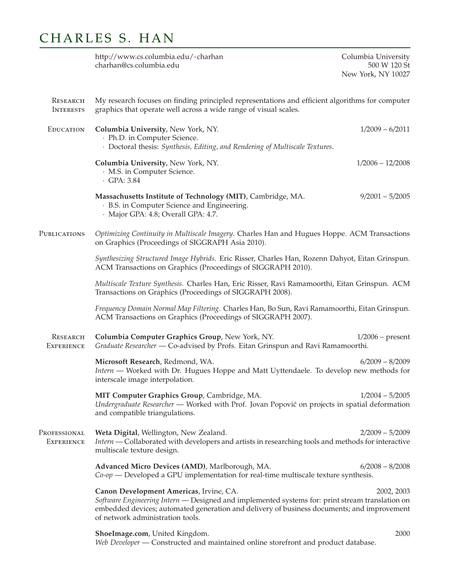## CHARLES S. HAN

http://www.cs.columbia.edu/~charhan charhan@cs.columbia.edu

Columbia University 500 W 120 St New York, NY 10027

| <b>RESEARCH</b><br><b>INTERESTS</b>  | My research focuses on finding principled representations and efficient algorithms for computer<br>graphics that operate well across a wide range of visual scales.                                                                                                                        |  |
|--------------------------------------|--------------------------------------------------------------------------------------------------------------------------------------------------------------------------------------------------------------------------------------------------------------------------------------------|--|
| <b>EDUCATION</b>                     | Columbia University, New York, NY.<br>$1/2009 - 6/2011$<br>· Ph.D. in Computer Science.<br>· Doctoral thesis: Synthesis, Editing, and Rendering of Multiscale Textures.                                                                                                                    |  |
|                                      | Columbia University, New York, NY.<br>$1/2006 - 12/2008$<br>· M.S. in Computer Science.<br>$\cdot$ GPA: 3.84                                                                                                                                                                               |  |
|                                      | Massachusetts Institute of Technology (MIT), Cambridge, MA.<br>$9/2001 - 5/2005$<br>· B.S. in Computer Science and Engineering.<br>· Major GPA: 4.8; Overall GPA: 4.7.                                                                                                                     |  |
| PUBLICATIONS                         | Optimizing Continuity in Multiscale Imagery. Charles Han and Hugues Hoppe. ACM Transactions<br>on Graphics (Proceedings of SIGGRAPH Asia 2010).                                                                                                                                            |  |
|                                      | Synthesizing Structured Image Hybrids. Eric Risser, Charles Han, Rozenn Dahyot, Eitan Grinspun.<br>ACM Transactions on Graphics (Proceedings of SIGGRAPH 2010).                                                                                                                            |  |
|                                      | Multiscale Texture Synthesis. Charles Han, Eric Risser, Ravi Ramamoorthi, Eitan Grinspun. ACM<br>Transactions on Graphics (Proceedings of SIGGRAPH 2008).                                                                                                                                  |  |
|                                      | Frequency Domain Normal Map Filtering. Charles Han, Bo Sun, Ravi Ramamoorthi, Eitan Grinspun.<br>ACM Transactions on Graphics (Proceedings of SIGGRAPH 2007).                                                                                                                              |  |
| <b>RESEARCH</b><br><b>EXPERIENCE</b> | Columbia Computer Graphics Group, New York, NY.<br>$1/2006$ – present<br>Graduate Researcher - Co-advised by Profs. Eitan Grinspun and Ravi Ramamoorthi.                                                                                                                                   |  |
|                                      | $6/2009 - 8/2009$<br>Microsoft Research, Redmond, WA.<br>Intern — Worked with Dr. Hugues Hoppe and Matt Uyttendaele. To develop new methods for<br>interscale image interpolation.                                                                                                         |  |
|                                      | MIT Computer Graphics Group, Cambridge, MA.<br>$1/2004 - 5/2005$<br>Undergraduate Researcher - Worked with Prof. Jovan Popović on projects in spatial deformation<br>and compatible triangulations.                                                                                        |  |
| PROFESSIONAL<br><b>EXPERIENCE</b>    | Weta Digital, Wellington, New Zealand.<br>$2/2009 - 5/2009$<br>Intern — Collaborated with developers and artists in researching tools and methods for interactive<br>multiscale texture design.                                                                                            |  |
|                                      | Advanced Micro Devices (AMD), Marlborough, MA.<br>$6/2008 - 8/2008$<br>$Co$ -op — Developed a GPU implementation for real-time multiscale texture synthesis.                                                                                                                               |  |
|                                      | Canon Development Americas, Irvine, CA.<br>2002, 2003<br>Software Engineering Intern - Designed and implemented systems for: print stream translation on<br>embedded devices; automated generation and delivery of business documents; and improvement<br>of network administration tools. |  |
|                                      | 2000<br>ShoeImage.com, United Kingdom.<br>Web Developer - Constructed and maintained online storefront and product database.                                                                                                                                                               |  |